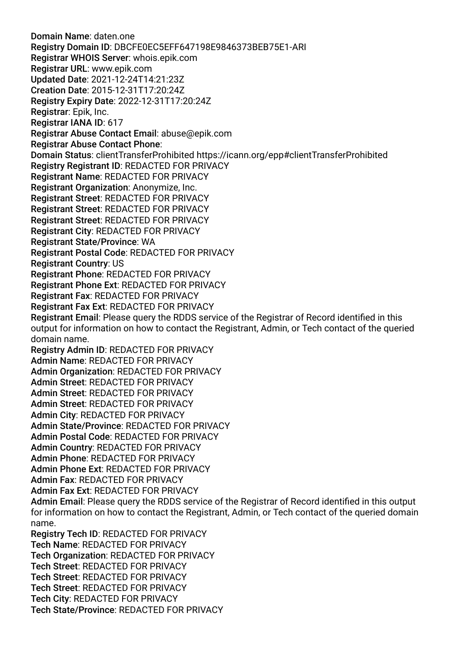Domain Name: daten.one Registry Domain ID: DBCFE0EC5EFF647198E9846373BEB75E1-ARI Registrar WHOIS Server: whois.epik.com Registrar URL: www.epik.com Updated Date: 2021-12-24T14:21:23Z Creation Date: 2015-12-31T17:20:24Z Registry Expiry Date: 2022-12-31T17:20:24Z Registrar: Epik, Inc. Registrar IANA ID: 617 Registrar Abuse Contact Email: abuse@epik.com Registrar Abuse Contact Phone: Domain Status: clientTransferProhibited https://icann.org/epp#clientTransferProhibited Registry Registrant ID: REDACTED FOR PRIVACY Registrant Name: REDACTED FOR PRIVACY Registrant Organization: Anonymize, Inc. Registrant Street: REDACTED FOR PRIVACY Registrant Street: REDACTED FOR PRIVACY Registrant Street: REDACTED FOR PRIVACY Registrant City: REDACTED FOR PRIVACY Registrant State/Province: WA Registrant Postal Code: REDACTED FOR PRIVACY Registrant Country: US Registrant Phone: REDACTED FOR PRIVACY Registrant Phone Ext: REDACTED FOR PRIVACY Registrant Fax: REDACTED FOR PRIVACY Registrant Fax Ext: REDACTED FOR PRIVACY Registrant Email: Please query the RDDS service of the Registrar of Record identifed in this output for information on how to contact the Registrant, Admin, or Tech contact of the queried domain name. Registry Admin ID: REDACTED FOR PRIVACY Admin Name: REDACTED FOR PRIVACY Admin Organization: REDACTED FOR PRIVACY Admin Street: REDACTED FOR PRIVACY Admin Street: REDACTED FOR PRIVACY Admin Street: REDACTED FOR PRIVACY Admin City: REDACTED FOR PRIVACY Admin State/Province: REDACTED FOR PRIVACY Admin Postal Code: REDACTED FOR PRIVACY Admin Country: REDACTED FOR PRIVACY Admin Phone: REDACTED FOR PRIVACY Admin Phone Ext: REDACTED FOR PRIVACY Admin Fax: REDACTED FOR PRIVACY Admin Fax Ext: REDACTED FOR PRIVACY Admin Email: Please query the RDDS service of the Registrar of Record identifed in this output for information on how to contact the Registrant, Admin, or Tech contact of the queried domain name. Registry Tech ID: REDACTED FOR PRIVACY Tech Name: REDACTED FOR PRIVACY Tech Organization: REDACTED FOR PRIVACY Tech Street: REDACTED FOR PRIVACY Tech Street: REDACTED FOR PRIVACY Tech Street: REDACTED FOR PRIVACY Tech City: REDACTED FOR PRIVACY Tech State/Province: REDACTED FOR PRIVACY